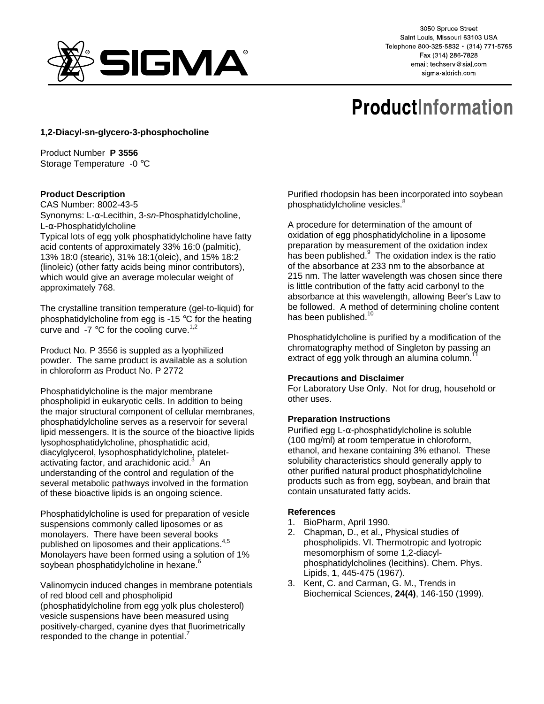

3050 Spruce Street Saint Louis, Missouri 63103 USA Telephone 800-325-5832 · (314) 771-5765 Fax (314) 286-7828 email: techserv@sial.com sigma-aldrich.com

# **ProductInformation**

## **1,2-Diacyl-sn-glycero-3-phosphocholine**

Product Number **P 3556** Storage Temperature -0 °C

### **Product Description**

CAS Number: 8002-43-5

Synonyms: L-α-Lecithin, 3-sn-Phosphatidylcholine, L-α-Phosphatidylcholine Typical lots of egg yolk phosphatidylcholine have fatty acid contents of approximately 33% 16:0 (palmitic), 13% 18:0 (stearic), 31% 18:1(oleic), and 15% 18:2 (linoleic) (other fatty acids being minor contributors), which would give an average molecular weight of approximately 768.

The crystalline transition temperature (gel-to-liquid) for phosphatidylcholine from egg is -15 °C for the heating curve and  $-7$  °C for the cooling curve.<sup>1,2</sup>

Product No. P 3556 is suppled as a lyophilized powder. The same product is available as a solution in chloroform as Product No. P 2772

Phosphatidylcholine is the major membrane phospholipid in eukaryotic cells. In addition to being the major structural component of cellular membranes, phosphatidylcholine serves as a reservoir for several lipid messengers. It is the source of the bioactive lipids lysophosphatidylcholine, phosphatidic acid, diacylglycerol, lysophosphatidylcholine, plateletactivating factor, and arachidonic acid.<sup>3</sup> An understanding of the control and regulation of the several metabolic pathways involved in the formation of these bioactive lipids is an ongoing science.

Phosphatidylcholine is used for preparation of vesicle suspensions commonly called liposomes or as monolayers. There have been several books published on liposomes and their applications.<sup>4,5</sup> Monolayers have been formed using a solution of 1% soybean phosphatidylcholine in hexane.<sup>6</sup>

Valinomycin induced changes in membrane potentials of red blood cell and phospholipid (phosphatidylcholine from egg yolk plus cholesterol) vesicle suspensions have been measured using positively-charged, cyanine dyes that fluorimetrically responded to the change in potential.<sup>7</sup>

Purified rhodopsin has been incorporated into soybean phosphatidylcholine vesicles.<sup>8</sup>

A procedure for determination of the amount of oxidation of egg phosphatidylcholine in a liposome preparation by measurement of the oxidation index has been published.<sup>9</sup> The oxidation index is the ratio of the absorbance at 233 nm to the absorbance at 215 nm. The latter wavelength was chosen since there is little contribution of the fatty acid carbonyl to the absorbance at this wavelength, allowing Beer's Law to be followed. A method of determining choline content has been published. $1$ 

Phosphatidylcholine is purified by a modification of the chromatography method of Singleton by passing an extract of egg yolk through an alumina column.<sup>1</sup>

## **Precautions and Disclaimer**

For Laboratory Use Only. Not for drug, household or other uses.

#### **Preparation Instructions**

Purified egg L-α-phosphatidylcholine is soluble (100 mg/ml) at room temperatue in chloroform, ethanol, and hexane containing 3% ethanol. These solubility characteristics should generally apply to other purified natural product phosphatidylcholine products such as from egg, soybean, and brain that contain unsaturated fatty acids.

#### **References**

- 1. BioPharm, April 1990.
- 2. Chapman, D., et al., Physical studies of phospholipids. VI. Thermotropic and lyotropic mesomorphism of some 1,2-diacylphosphatidylcholines (lecithins). Chem. Phys. Lipids, **1**, 445-475 (1967).
- 3. Kent, C. and Carman, G. M., Trends in Biochemical Sciences, **24(4)**, 146-150 (1999).